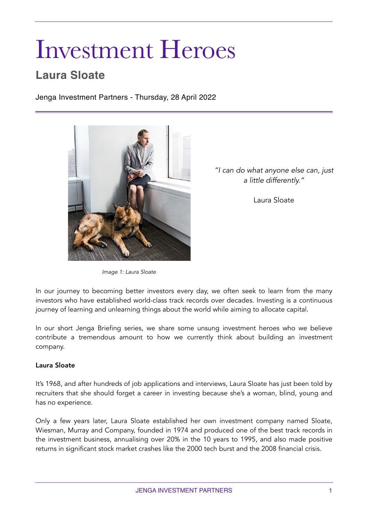# Investment Heroes

# **Laura Sloate**

Jenga Investment Partners - Thursday, 28 April 2022



*"I can do what anyone else can, just a little differently."*

Laura Sloate

*Image 1: Laura Sloate* 

In our journey to becoming better investors every day, we often seek to learn from the many investors who have established world-class track records over decades. Investing is a continuous journey of learning and unlearning things about the world while aiming to allocate capital.

In our short Jenga Briefing series, we share some unsung investment heroes who we believe contribute a tremendous amount to how we currently think about building an investment company.

#### Laura Sloate

It's 1968, and after hundreds of job applications and interviews, Laura Sloate has just been told by recruiters that she should forget a career in investing because she's a woman, blind, young and has no experience.

Only a few years later, Laura Sloate established her own investment company named Sloate, Wiesman, Murray and Company, founded in 1974 and produced one of the best track records in the investment business, annualising over 20% in the 10 years to 1995, and also made positive returns in significant stock market crashes like the 2000 tech burst and the 2008 financial crisis.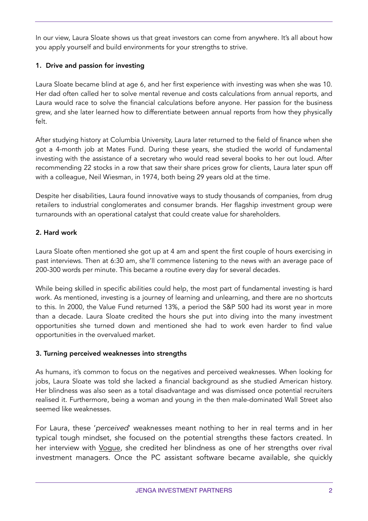In our view, Laura Sloate shows us that great investors can come from anywhere. It's all about how you apply yourself and build environments for your strengths to strive.

## 1. Drive and passion for investing

Laura Sloate became blind at age 6, and her first experience with investing was when she was 10. Her dad often called her to solve mental revenue and costs calculations from annual reports, and Laura would race to solve the financial calculations before anyone. Her passion for the business grew, and she later learned how to differentiate between annual reports from how they physically felt.

After studying history at Columbia University, Laura later returned to the field of finance when she got a 4-month job at Mates Fund. During these years, she studied the world of fundamental investing with the assistance of a secretary who would read several books to her out loud. After recommending 22 stocks in a row that saw their share prices grow for clients, Laura later spun off with a colleague, Neil Wiesman, in 1974, both being 29 years old at the time.

Despite her disabilities, Laura found innovative ways to study thousands of companies, from drug retailers to industrial conglomerates and consumer brands. Her flagship investment group were turnarounds with an operational catalyst that could create value for shareholders.

## 2. Hard work

Laura Sloate often mentioned she got up at 4 am and spent the first couple of hours exercising in past interviews. Then at 6:30 am, she'll commence listening to the news with an average pace of 200-300 words per minute. This became a routine every day for several decades.

While being skilled in specific abilities could help, the most part of fundamental investing is hard work. As mentioned, investing is a journey of learning and unlearning, and there are no shortcuts to this. In 2000, the Value Fund returned 13%, a period the S&P 500 had its worst year in more than a decade. Laura Sloate credited the hours she put into diving into the many investment opportunities she turned down and mentioned she had to work even harder to find value opportunities in the overvalued market.

#### 3. Turning perceived weaknesses into strengths

As humans, it's common to focus on the negatives and perceived weaknesses. When looking for jobs, Laura Sloate was told she lacked a financial background as she studied American history. Her blindness was also seen as a total disadvantage and was dismissed once potential recruiters realised it. Furthermore, being a woman and young in the then male-dominated Wall Street also seemed like weaknesses.

For Laura, these '*perceived*' weaknesses meant nothing to her in real terms and in her typical tough mindset, she focused on the potential strengths these factors created. In her interview with [Vogue,](https://archive.vogue.com/article/1983/1/what-you-need-to-know-now-an-interview-with-financial-manager-laura-sloate) she credited her blindness as one of her strengths over rival investment managers. Once the PC assistant software became available, she quickly